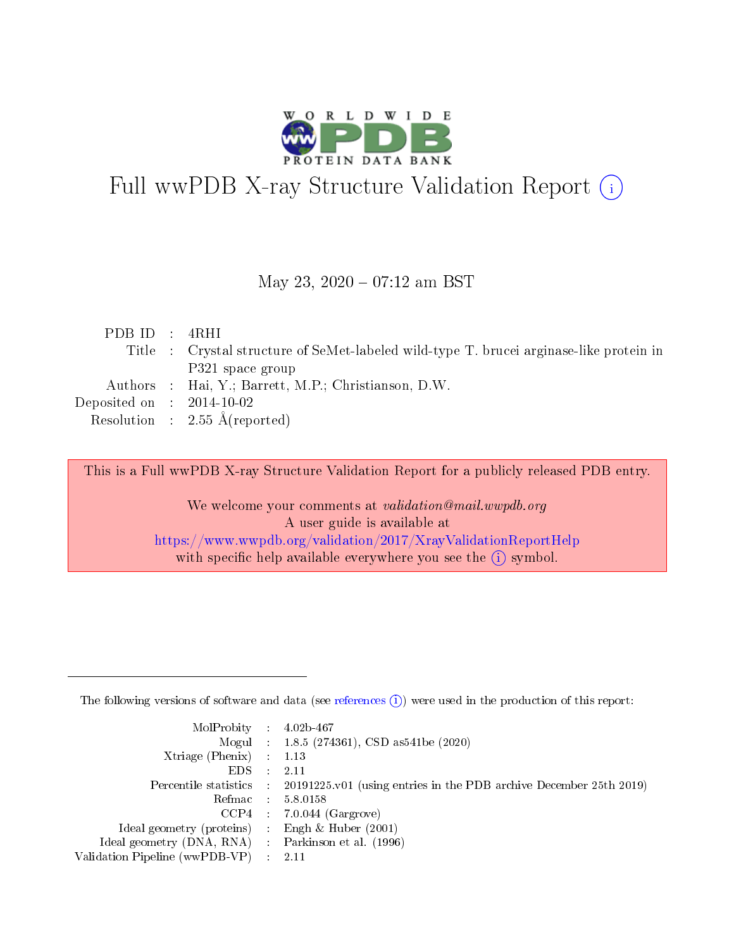

# Full wwPDB X-ray Structure Validation Report (i)

#### May 23, 2020 - 07:12 am BST

| PDBID : 4RHI                |                                                                                         |
|-----------------------------|-----------------------------------------------------------------------------------------|
|                             | Title : Crystal structure of SeMet-labeled wild-type T. brucei arginase-like protein in |
|                             | P321 space group                                                                        |
|                             | Authors : Hai, Y.; Barrett, M.P.; Christianson, D.W.                                    |
| Deposited on : $2014-10-02$ |                                                                                         |
|                             | Resolution : $2.55 \text{ Å}$ (reported)                                                |

This is a Full wwPDB X-ray Structure Validation Report for a publicly released PDB entry.

We welcome your comments at validation@mail.wwpdb.org A user guide is available at <https://www.wwpdb.org/validation/2017/XrayValidationReportHelp> with specific help available everywhere you see the  $(i)$  symbol.

The following versions of software and data (see [references](https://www.wwpdb.org/validation/2017/XrayValidationReportHelp#references)  $(1)$ ) were used in the production of this report:

| $MolProbability$ 4.02b-467                          |               |                                                                                            |
|-----------------------------------------------------|---------------|--------------------------------------------------------------------------------------------|
|                                                     |               | Mogul : 1.8.5 (274361), CSD as 541be (2020)                                                |
| Xtriage (Phenix) $: 1.13$                           |               |                                                                                            |
| EDS.                                                | $\mathcal{L}$ | -2.11                                                                                      |
|                                                     |               | Percentile statistics : 20191225.v01 (using entries in the PDB archive December 25th 2019) |
|                                                     |               | Refmac $5.8.0158$                                                                          |
| CCP4                                                |               | $7.0.044$ (Gargrove)                                                                       |
| Ideal geometry (proteins)                           | $\sim$        | Engh $\&$ Huber (2001)                                                                     |
| Ideal geometry (DNA, RNA) : Parkinson et al. (1996) |               |                                                                                            |
| Validation Pipeline (wwPDB-VP) : 2.11               |               |                                                                                            |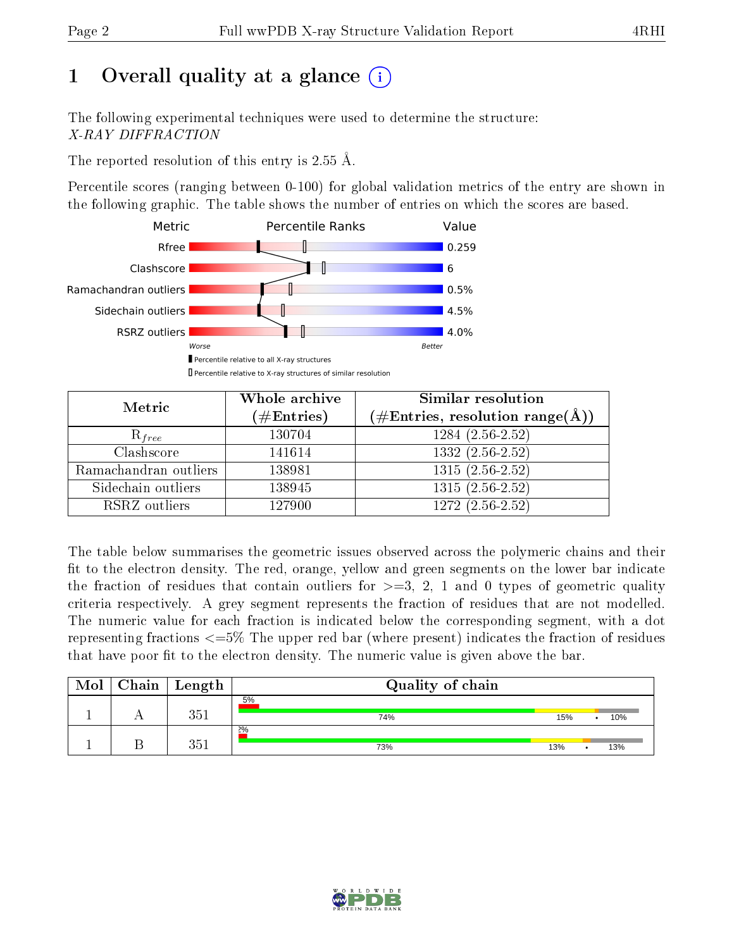# 1 [O](https://www.wwpdb.org/validation/2017/XrayValidationReportHelp#overall_quality)verall quality at a glance  $(i)$

The following experimental techniques were used to determine the structure: X-RAY DIFFRACTION

The reported resolution of this entry is 2.55 Å.

Percentile scores (ranging between 0-100) for global validation metrics of the entry are shown in the following graphic. The table shows the number of entries on which the scores are based.



| Metric                | Whole archive<br>$(\#\text{Entries})$ | Similar resolution<br>$(\#\text{Entries},\,\text{resolution}\,\,\text{range}(\textup{\AA}))$ |  |  |
|-----------------------|---------------------------------------|----------------------------------------------------------------------------------------------|--|--|
| $R_{free}$            | 130704                                | $1284(2.56-2.52)$                                                                            |  |  |
| Clashscore            | 141614                                | $1332(2.56-2.52)$                                                                            |  |  |
| Ramachandran outliers | 138981                                | $1315(2.56-2.52)$                                                                            |  |  |
| Sidechain outliers    | 138945                                | $1315(2.56-2.52)$                                                                            |  |  |
| RSRZ outliers         | 127900                                | $\overline{1272 (2.56-2.52)}$                                                                |  |  |

The table below summarises the geometric issues observed across the polymeric chains and their fit to the electron density. The red, orange, yellow and green segments on the lower bar indicate the fraction of residues that contain outliers for  $>=3, 2, 1$  and 0 types of geometric quality criteria respectively. A grey segment represents the fraction of residues that are not modelled. The numeric value for each fraction is indicated below the corresponding segment, with a dot representing fractions  $\epsilon=5\%$  The upper red bar (where present) indicates the fraction of residues that have poor fit to the electron density. The numeric value is given above the bar.

| Mol | Chain | $\vert$ Length           | Quality of chain |     |     |
|-----|-------|--------------------------|------------------|-----|-----|
|     |       | 351                      | 5%<br>74%        | 15% | 10% |
|     |       | $\Omega \simeq 1$<br>l h | 2%<br>73%        | 13% | 13% |

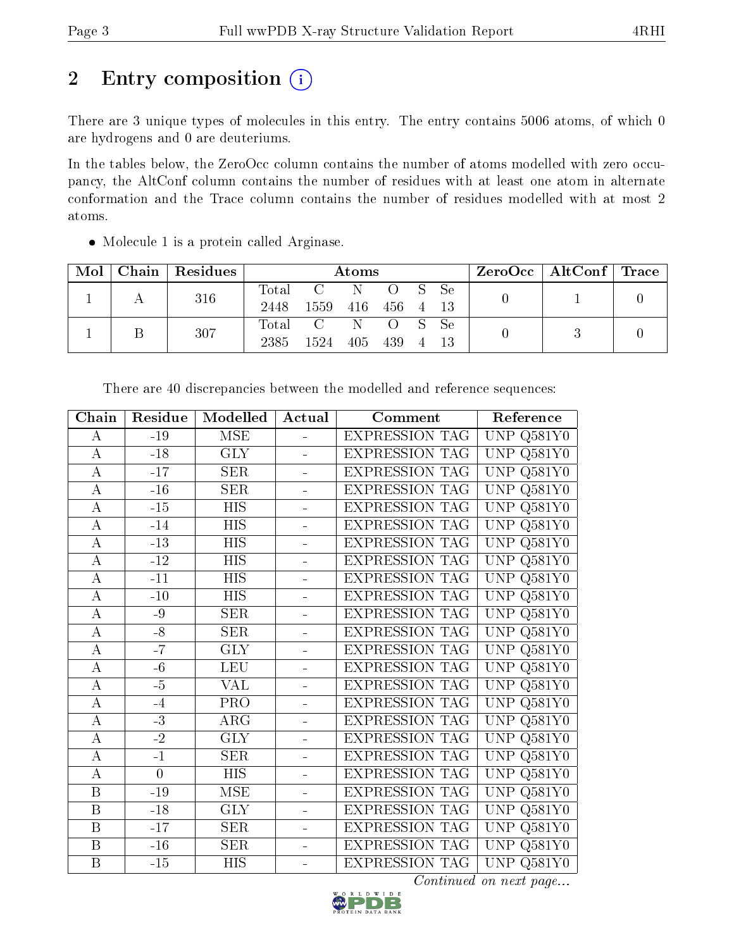# 2 Entry composition (i)

There are 3 unique types of molecules in this entry. The entry contains 5006 atoms, of which 0 are hydrogens and 0 are deuteriums.

In the tables below, the ZeroOcc column contains the number of atoms modelled with zero occupancy, the AltConf column contains the number of residues with at least one atom in alternate conformation and the Trace column contains the number of residues modelled with at most 2 atoms.

| Mol | Chain   Residues |       | Atoms      |           |        |          | $\text{ZeroOcc}$   AltConf   Trace |  |  |
|-----|------------------|-------|------------|-----------|--------|----------|------------------------------------|--|--|
|     | 316              | Total | C N O S Se |           |        |          |                                    |  |  |
|     |                  | 2448  | 1559       | 416 456 4 |        |          | - 13                               |  |  |
|     | 307              |       | Total C N  |           | O S Se |          |                                    |  |  |
|     |                  | 2385  | 1524       | 405 439   |        | $\sim$ 4 |                                    |  |  |

Molecule 1 is a protein called Arginase.

| Chain              | Residue        | Modelled         | Actual                   | Comment               | Reference                                      |
|--------------------|----------------|------------------|--------------------------|-----------------------|------------------------------------------------|
| А                  | $-19$          | <b>MSE</b>       | $\equiv$                 | <b>EXPRESSION TAG</b> | Q581Y0<br><b>UNP</b>                           |
| $\boldsymbol{A}$   | $-18$          | <b>GLY</b>       | $\equiv$                 | <b>EXPRESSION TAG</b> | Q581Y0<br><b>UNP</b>                           |
| А                  | $-17$          | <b>SER</b>       | $\overline{\phantom{a}}$ | <b>EXPRESSION TAG</b> | UNP<br>Q581Y0                                  |
| $\boldsymbol{A}$   | $-16$          | <b>SER</b>       | $\overline{a}$           | <b>EXPRESSION TAG</b> | <b>UNP</b><br>Q581Y0                           |
| $\overline{\rm A}$ | $\mbox{-}15$   | <b>HIS</b>       | ÷                        | <b>EXPRESSION TAG</b> | <b>UNP</b><br>$Q581\overline{Y0}$              |
| $\overline{A}$     | $-14$          | <b>HIS</b>       | $\equiv$                 | <b>EXPRESSION TAG</b> | <b>UNP</b><br>Q581Y0                           |
| $\bf{A}$           | $-13$          | <b>HIS</b>       | $\blacksquare$           | <b>EXPRESSION TAG</b> | <b>UNP</b><br>Q581Y0                           |
| А                  | $-12$          | <b>HIS</b>       | $\equiv$                 | <b>EXPRESSION TAG</b> | UNP<br>Q581Y0                                  |
| $\mathbf A$        | $-11$          | <b>HIS</b>       | ÷                        | <b>EXPRESSION TAG</b> | <b>UNP</b><br>Q581Y0                           |
| $\overline{\rm A}$ | $-10$          | $\overline{HIS}$ | $\equiv$                 | <b>EXPRESSION TAG</b> | $\overline{\text{UNP}}$<br>$Q581\overline{Y0}$ |
| $\boldsymbol{A}$   | -9             | <b>SER</b>       | $\blacksquare$           | <b>EXPRESSION TAG</b> | <b>UNP</b><br>$Q581\overline{Y0}$              |
| $\bf{A}$           | $-8$           | <b>SER</b>       | $\equiv$                 | <b>EXPRESSION TAG</b> | <b>UNP</b><br>Q581Y0                           |
| А                  | $-7$           | <b>GLY</b>       | $\overline{a}$           | <b>EXPRESSION TAG</b> | Q581Y0<br><b>UNP</b>                           |
| $\bf{A}$           | $-6$           | <b>LEU</b>       | ÷,                       | <b>EXPRESSION TAG</b> | UNP<br>Q581Y0                                  |
| $\overline{\rm A}$ | $-5$           | VAL              | $\frac{1}{2}$            | <b>EXPRESSION TAG</b> | <b>UNP</b><br>Q581Y0                           |
| $\boldsymbol{A}$   | $-4$           | PRO              | ÷                        | <b>EXPRESSION TAG</b> | <b>UNP</b><br>Q581Y0                           |
| $\bf{A}$           | $-3$           | $\rm{ARG}$       | $\overline{a}$           | <b>EXPRESSION TAG</b> | Q581Y0<br><b>UNP</b>                           |
| $\bf{A}$           | $-2$           | <b>GLY</b>       | $\blacksquare$           | <b>EXPRESSION TAG</b> | <b>UNP</b><br>Q581Y0                           |
| $\bf{A}$           | $-1$           | <b>SER</b>       | $\overline{\phantom{0}}$ | <b>EXPRESSION TAG</b> | <b>UNP</b><br>Q581Y0                           |
| $\overline{A}$     | $\overline{0}$ | $\overline{HIS}$ | $\frac{1}{2}$            | <b>EXPRESSION TAG</b> | <b>UNP</b><br>$Q581\overline{Y0}$              |
| $\, {\bf B}$       | $\mbox{-} 19$  | MSE              | $\blacksquare$           | <b>EXPRESSION TAG</b> | <b>UNP</b><br>Q581Y0                           |
| B                  | $-18$          | <b>GLY</b>       | $\equiv$                 | <b>EXPRESSION TAG</b> | <b>UNP</b><br>$Q58\overline{1Y0}$              |
| B                  | $-17$          | <b>SER</b>       | $\overline{a}$           | <b>EXPRESSION TAG</b> | UNP<br>Q581Y0                                  |
| $\, {\bf B}$       | $-16$          | SER              | $\overline{\phantom{0}}$ | <b>EXPRESSION TAG</b> | UNP<br>Q581Y0                                  |
| $\overline{B}$     | $-15$          | <b>HIS</b>       | $\blacksquare$           | <b>EXPRESSION TAG</b> | UNP Q581Y0                                     |

There are 40 discrepancies between the modelled and reference sequences:

Continued on next page...

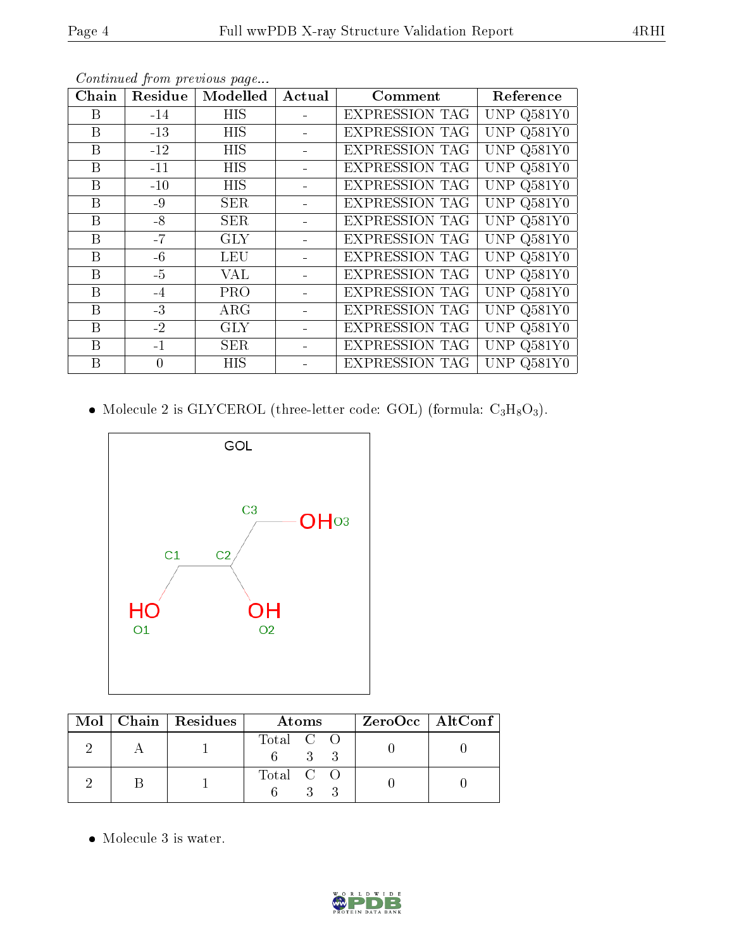| Chain | Residue  | Modelled   | Actual | $\bf {Comment}$       | Reference    |
|-------|----------|------------|--------|-----------------------|--------------|
| Β     | $-14$    | <b>HIS</b> |        | <b>EXPRESSION TAG</b> | UNP $Q581Y0$ |
| Β     | $-13$    | <b>HIS</b> |        | <b>EXPRESSION TAG</b> | UNP $Q581Y0$ |
| Β     | $-12$    | <b>HIS</b> |        | <b>EXPRESSION TAG</b> | UNP Q581Y0   |
| B     | $-11$    | <b>HIS</b> |        | <b>EXPRESSION TAG</b> | UNP Q581Y0   |
| B     | $-10$    | <b>HIS</b> |        | <b>EXPRESSION TAG</b> | UNP $Q581Y0$ |
| B     | $-9$     | <b>SER</b> |        | <b>EXPRESSION TAG</b> | UNP Q581Y0   |
| Β     | $-8$     | <b>SER</b> |        | <b>EXPRESSION TAG</b> | UNP Q581Y0   |
| B     | $-7$     | <b>GLY</b> |        | <b>EXPRESSION TAG</b> | UNP Q581Y0   |
| B     | $-6$     | <b>LEU</b> |        | <b>EXPRESSION TAG</b> | UNP Q581Y0   |
| Β     | $-5$     | VAL        |        | <b>EXPRESSION TAG</b> | UNP Q581Y0   |
| B     | $-4$     | <b>PRO</b> |        | <b>EXPRESSION TAG</b> | UNP Q581Y0   |
| B     | $-3$     | $\rm{ARG}$ |        | <b>EXPRESSION TAG</b> | UNP Q581Y0   |
| B     | $-2$     | <b>GLY</b> |        | <b>EXPRESSION TAG</b> | UNP Q581Y0   |
| B     | $-1$     | <b>SER</b> |        | <b>EXPRESSION TAG</b> | UNP $Q581Y0$ |
| B     | $\theta$ | <b>HIS</b> |        | <b>EXPRESSION TAG</b> | UNP $Q581Y0$ |

Continued from previous page...

• Molecule 2 is GLYCEROL (three-letter code: GOL) (formula:  $C_3H_8O_3$ ).



|  | Mol   Chain   Residues | Atoms     | $ZeroOcc \mid AltConf \mid$ |
|--|------------------------|-----------|-----------------------------|
|  |                        | Total C O |                             |
|  |                        | Total C O |                             |

 $\bullet\,$  Molecule 3 is water.

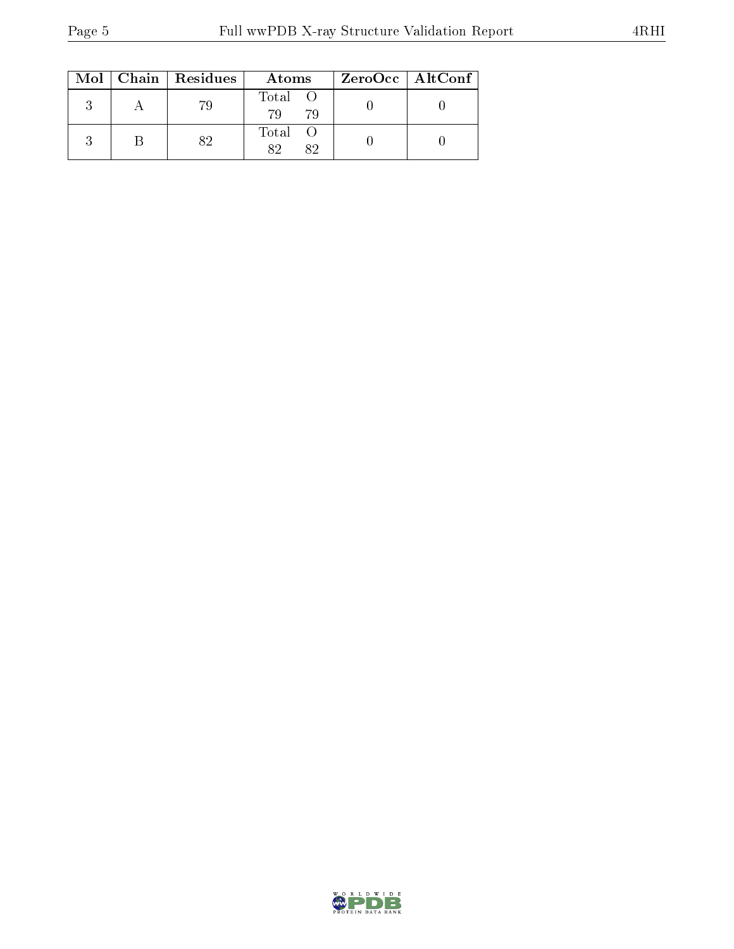|  | $Mol$   Chain   Residues | Atoms             | ZeroOcc   AltConf |
|--|--------------------------|-------------------|-------------------|
|  | 79                       | Total<br>79<br>79 |                   |
|  | $\Omega$                 | Total<br>89<br>82 |                   |

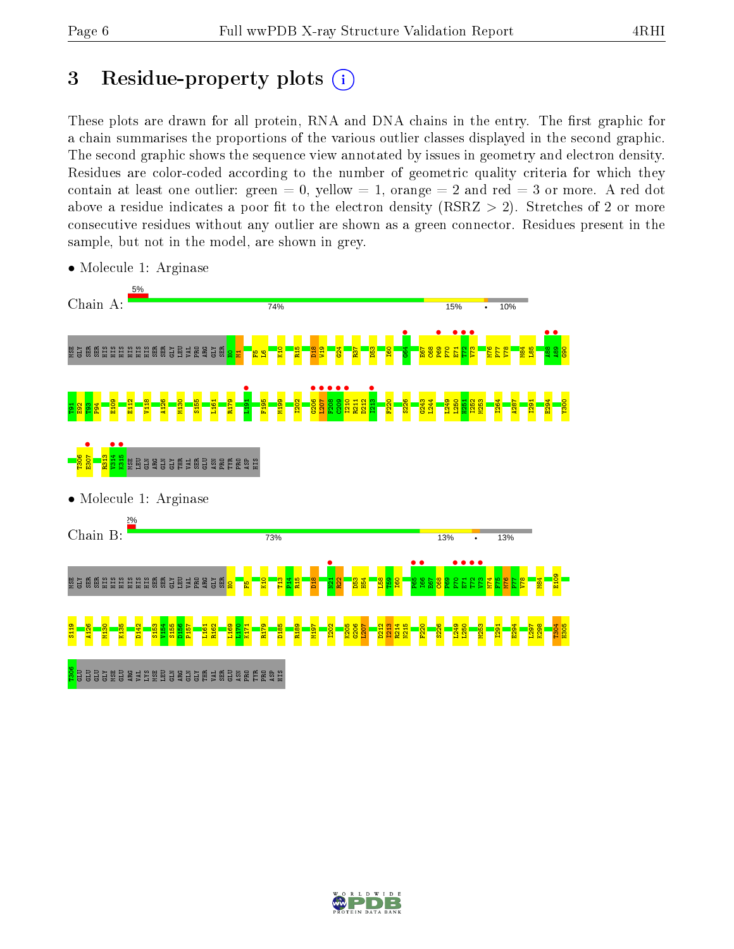# 3 Residue-property plots  $(i)$

These plots are drawn for all protein, RNA and DNA chains in the entry. The first graphic for a chain summarises the proportions of the various outlier classes displayed in the second graphic. The second graphic shows the sequence view annotated by issues in geometry and electron density. Residues are color-coded according to the number of geometric quality criteria for which they contain at least one outlier: green  $= 0$ , yellow  $= 1$ , orange  $= 2$  and red  $= 3$  or more. A red dot above a residue indicates a poor fit to the electron density (RSRZ  $> 2$ ). Stretches of 2 or more consecutive residues without any outlier are shown as a green connector. Residues present in the sample, but not in the model, are shown in grey.



• Molecule 1: Arginase

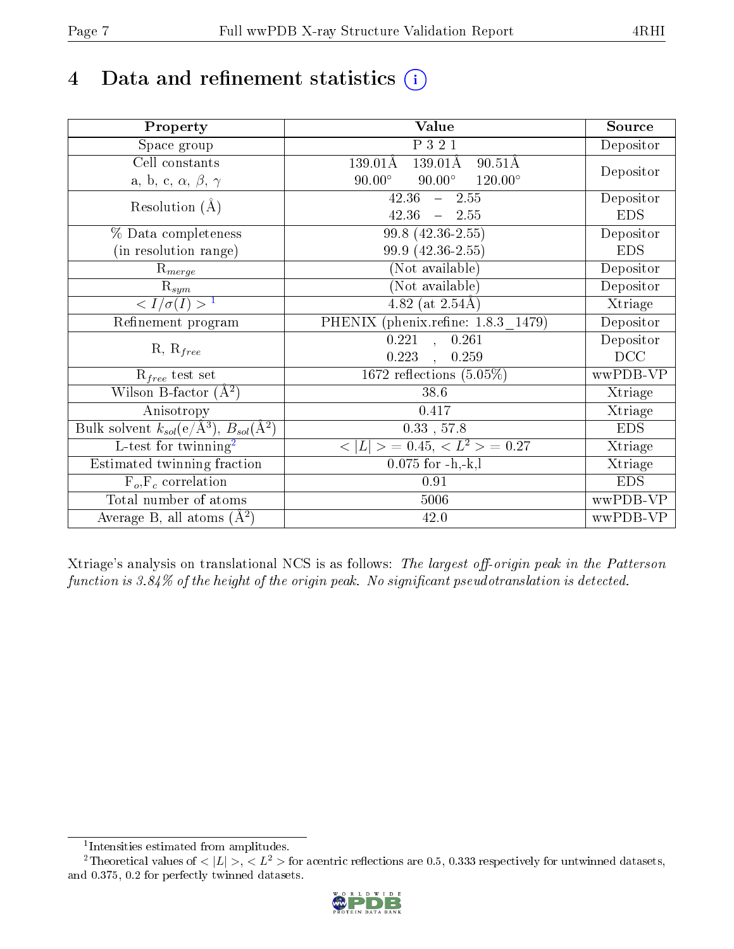# 4 Data and refinement statistics  $(i)$

| Property                                                             | Value                                                         | Source     |
|----------------------------------------------------------------------|---------------------------------------------------------------|------------|
| Space group                                                          | P 3 2 1                                                       | Depositor  |
| Cell constants                                                       | $139.01\text{\AA}$<br>$139.01\text{\AA}$<br>$90.51\text{\AA}$ |            |
| a, b, c, $\alpha$ , $\beta$ , $\gamma$                               | $120.00^{\circ}$<br>$90.00^\circ$<br>$90.00^\circ$            | Depositor  |
| Resolution $(A)$                                                     | $\overline{42.36 - 2.55}$                                     | Depositor  |
|                                                                      | 42.36<br>$-2.55$                                              | <b>EDS</b> |
| % Data completeness                                                  | 99.8 (42.36-2.55)                                             | Depositor  |
| (in resolution range)                                                | 99.9 (42.36-2.55)                                             | <b>EDS</b> |
| $R_{merge}$                                                          | (Not available)                                               | Depositor  |
| $\mathrm{R}_{sym}$                                                   | (Not available)                                               | Depositor  |
| $\langle I/\sigma(I) \rangle^{-1}$                                   | 4.82 (at $2.54\text{\AA}$ )                                   | Xtriage    |
| Refinement program                                                   | PHENIX (phenix.refine: 1.8.3 1479)                            | Depositor  |
|                                                                      | 0.221<br>0.261<br>$\overline{\phantom{a}}$                    | Depositor  |
| $R, R_{free}$                                                        | 0.223<br>0.259                                                | DCC        |
| $R_{free}$ test set                                                  | 1672 reflections $(5.05\%)$                                   | wwPDB-VP   |
| Wilson B-factor $(A^2)$                                              | 38.6                                                          | Xtriage    |
| Anisotropy                                                           | 0.417                                                         | Xtriage    |
| Bulk solvent $k_{sol}(e/\mathring{A}^3)$ , $B_{sol}(\mathring{A}^2)$ | $0.33\,$ , $57.8\,$                                           | <b>EDS</b> |
| L-test for twinning <sup>2</sup>                                     | $>$ = 0.45, < $L^2$ > = 0.27<br>< L                           | Xtriage    |
| Estimated twinning fraction                                          | $0.075$ for $-h,-k,l$                                         | Xtriage    |
| $F_o, F_c$ correlation                                               | 0.91                                                          | <b>EDS</b> |
| Total number of atoms                                                | 5006                                                          | wwPDB-VP   |
| Average B, all atoms $(A^2)$                                         | 42.0                                                          | wwPDB-VP   |

Xtriage's analysis on translational NCS is as follows: The largest off-origin peak in the Patterson function is  $3.84\%$  of the height of the origin peak. No significant pseudotranslation is detected.

<sup>&</sup>lt;sup>2</sup>Theoretical values of  $\langle |L| \rangle$ ,  $\langle L^2 \rangle$  for acentric reflections are 0.5, 0.333 respectively for untwinned datasets, and 0.375, 0.2 for perfectly twinned datasets.



<span id="page-6-1"></span><span id="page-6-0"></span><sup>1</sup> Intensities estimated from amplitudes.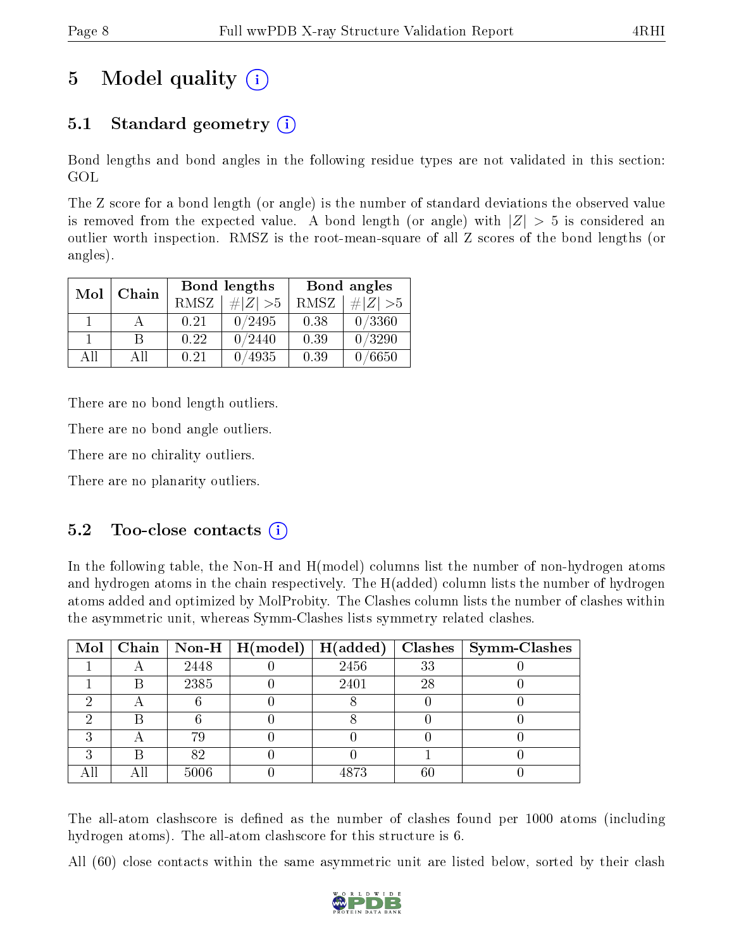# 5 Model quality  $(i)$

# 5.1 Standard geometry (i)

Bond lengths and bond angles in the following residue types are not validated in this section: GOL

The Z score for a bond length (or angle) is the number of standard deviations the observed value is removed from the expected value. A bond length (or angle) with  $|Z| > 5$  is considered an outlier worth inspection. RMSZ is the root-mean-square of all Z scores of the bond lengths (or angles).

| Mol | Chain |      | Bond lengths | Bond angles |             |  |
|-----|-------|------|--------------|-------------|-------------|--|
|     |       | RMSZ | $\# Z  > 5$  | RMSZ        | $\# Z  > 5$ |  |
|     |       | 0.21 | 0/2495       | 0.38        | 0/3360      |  |
|     | В     | 0.22 | 0/2440       | 0.39        | 0/3290      |  |
| AH  | All   | 0.21 | /4935        | 0.39        | 0/6650      |  |

There are no bond length outliers.

There are no bond angle outliers.

There are no chirality outliers.

There are no planarity outliers.

# $5.2$  Too-close contacts  $(i)$

In the following table, the Non-H and H(model) columns list the number of non-hydrogen atoms and hydrogen atoms in the chain respectively. The H(added) column lists the number of hydrogen atoms added and optimized by MolProbity. The Clashes column lists the number of clashes within the asymmetric unit, whereas Symm-Clashes lists symmetry related clashes.

|   |   |      | Mol   Chain   Non-H   H(model)   H(added) |      |    | $\textbf{Class} \mid \textbf{Symm-Class}$ |
|---|---|------|-------------------------------------------|------|----|-------------------------------------------|
|   |   | 2448 |                                           | 2456 | 33 |                                           |
|   | В | 2385 |                                           | 2401 | 28 |                                           |
|   |   |      |                                           |      |    |                                           |
|   |   |      |                                           |      |    |                                           |
| ച |   | 79   |                                           |      |    |                                           |
| ച | R | 82   |                                           |      |    |                                           |
|   |   | 5006 |                                           | 4873 | 60 |                                           |

The all-atom clashscore is defined as the number of clashes found per 1000 atoms (including hydrogen atoms). The all-atom clashscore for this structure is 6.

All (60) close contacts within the same asymmetric unit are listed below, sorted by their clash

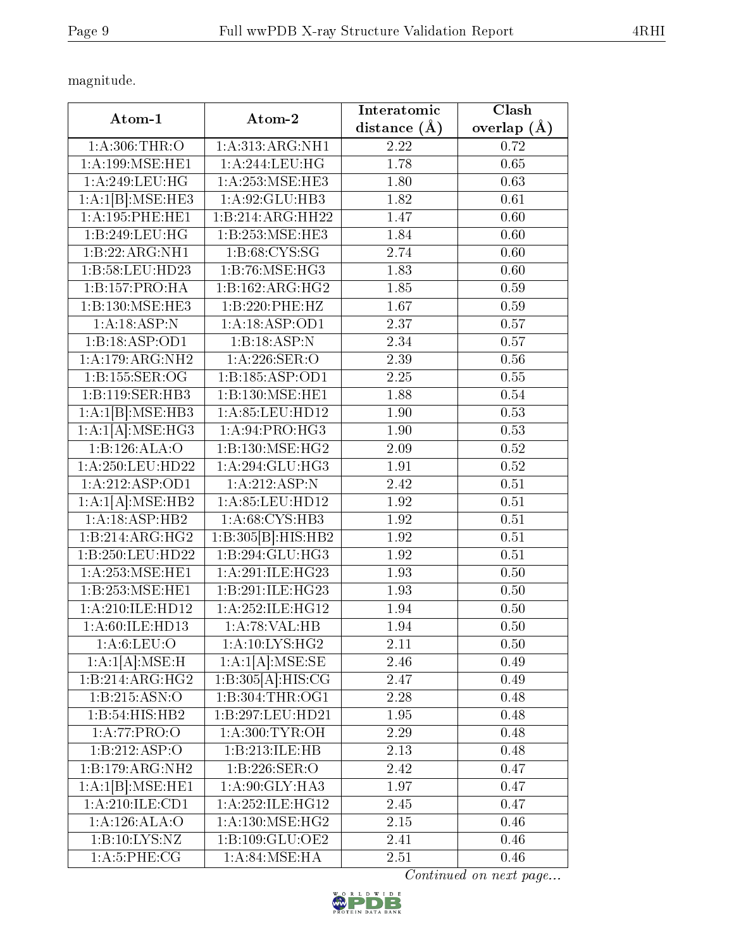magnitude.

| Atom-1             | Atom-2                        | Interatomic      | Clash         |  |
|--------------------|-------------------------------|------------------|---------------|--|
|                    |                               | distance $(\AA)$ | overlap $(A)$ |  |
| 1: A:306:THR:O     | 1: A:313:ARG:NH1              | 2.22             | 0.72          |  |
| 1:A:199:MSE:HE1    | 1:A:244:LEU:HG                | 1.78             | 0.65          |  |
| 1:A:249:LEU:HG     | 1: A:253: MSE:HE3             | 1.80             | 0.63          |  |
| 1:A:1[B]:MSE:HE3   | 1:A:92:GLU:HB3                | 1.82             | 0.61          |  |
| 1: A:195: PHE:HE1  | $1:B:214:A\overline{RG:HH22}$ | 1.47             | 0.60          |  |
| 1:B:249:LEU:HG     | 1:B:253:MSE:HE3               | 1.84             | 0.60          |  |
| 1:B:22:ARG:NH1     | 1: B:68: CYS:SG               | 2.74             | 0.60          |  |
| 1:B:58:LEU:HD23    | 1:B:76:MSE:HG3                | 1.83             | 0.60          |  |
| 1:B:157:PRO:HA     | 1:B:162:ARG:HG2               | 1.85             | 0.59          |  |
| 1:B:130:MSE:HE3    | 1:B:220:PHE:HZ                | 1.67             | 0.59          |  |
| 1:A:18:ASP:N       | 1:A:18:ASP:OD1                | 2.37             | 0.57          |  |
| 1:B:18:ASP:OD1     | 1:B:18:ASP:N                  | 2.34             | 0.57          |  |
| 1:A:179:ARG:NH2    | 1:A:226:SER:O                 | 2.39             | 0.56          |  |
| 1:B:155:SER:OG     | 1:B:185:ASP:OD1               | 2.25             | 0.55          |  |
| 1:B:119:SER:HB3    | 1:B:130:MSE:HE1               | 1.88             | 0.54          |  |
| 1:A:1[B]:MSE:HB3   | 1:A:85:LEU:HD12               | 1.90             | 0.53          |  |
| 1:A:1[A]:MSE:HG3   | 1: A:94: PRO:HG3              | 1.90             | 0.53          |  |
| 1:B:126:ALA:O      | 1:B:130:MSE:HG2               | 2.09             | 0.52          |  |
| 1:A:250:LEU:HD22   | 1: A:294: GLU:HG3             | 1.91             | 0.52          |  |
| 1:A:212:ASP:OD1    | 1:A:212:ASP:N                 | 2.42             | 0.51          |  |
| 1:A:1[A]:MSE:HB2   | 1:A:85:LEU:HD12               | 1.92             | 0.51          |  |
| 1:A:18:ASP:HB2     | 1: A:68: CYS:HB3              | 1.92             | 0.51          |  |
| 1:B:214:ARG:HG2    | 1:B:305[B]:HIS:HB2            | 1.92             | 0.51          |  |
| 1:B:250:LEU:HD22   | 1:B:294:GLU:HG3               | 1.92             | 0.51          |  |
| 1:A:253:MSE:HE1    | 1: A:291: ILE: HG23           | 1.93             | 0.50          |  |
| 1:B:253:MSE:HE1    | 1:B:291:ILE:HG23              | 1.93             | 0.50          |  |
| 1:A:210:ILE:HD12   | 1:A:252:ILE:HG12              | 1.94             | 0.50          |  |
| 1: A:60: ILE: HD13 | 1:A:78:VAL:HB                 | 1.94             | 0.50          |  |
| 1: A:6: LEU:O      | 1: A:10: LYS: HG <sub>2</sub> | 2.11             | 0.50          |  |
| 1:A:1[A]:MSE:H     | 1:A:1[A]:MSE:SE               | 2.46             | 0.49          |  |
| 1:B:214:ARG:HG2    | 1:B:305[A]:HIS:CG             | 2.47             | 0.49          |  |
| 1: B: 215: ASN:O   | 1:B:304:THR:OG1               | 2.28             | 0.48          |  |
| 1:B:54:HIS:HB2     | 1:B:297:LEU:HD21              | 1.95             | 0.48          |  |
| 1:A:77:PRO:O       | 1: A:300: TYR:OH              | 2.29             | 0.48          |  |
| 1:B:212:ASP:O      | 1:B:213:ILE:HB                | 2.13             | 0.48          |  |
| 1:B:179:ARG:NH2    | 1:B:226:SER:O                 | 2.42             | 0.47          |  |
| 1:A:1[B]:MSE:HE1   | 1: A:90: GLY: HA3             | 1.97             | 0.47          |  |
| 1:A:210:ILE:CD1    | 1: A: 252: ILE: HG12          | 2.45             | 0.47          |  |
| 1:A:126:ALA:O      | 1: A:130: MSE:HG2             | 2.15             | 0.46          |  |
| 1:B:10:LYS:NZ      | 1:B:109:GLU:OE2               | 2.41             | 0.46          |  |
| 1: A:5: PHE: CG    | $1: A:84:MSE:H\overline{A}$   | 2.51             | 0.46          |  |

Continued on next page...

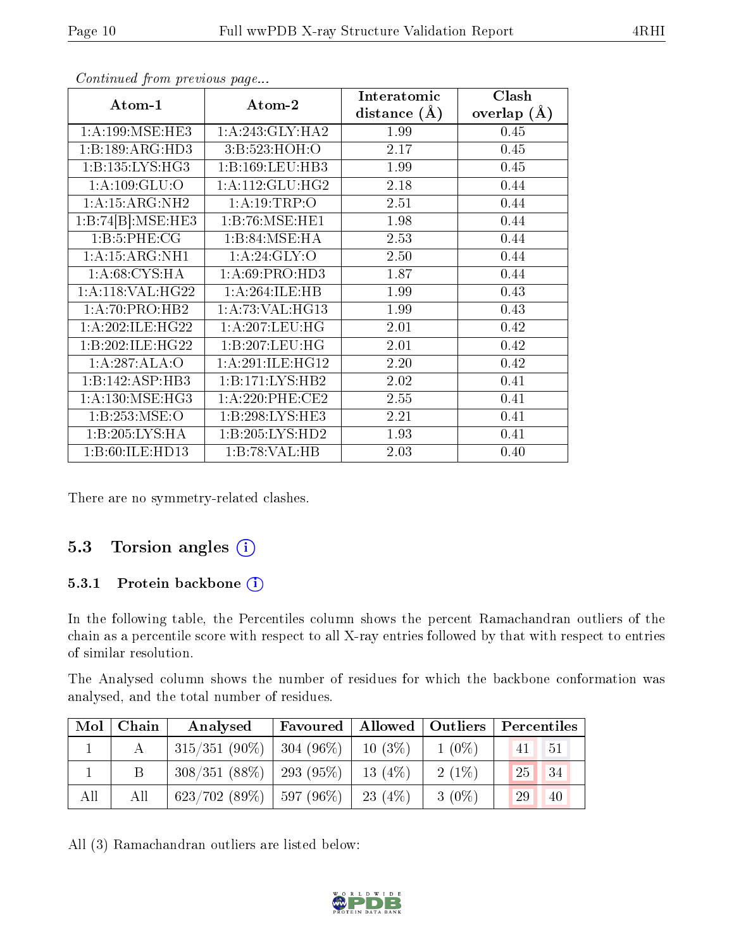| Atom-1              | Atom-2              | Interatomic<br>distance $(A)$ | Clash         |
|---------------------|---------------------|-------------------------------|---------------|
|                     |                     |                               | overlap $(A)$ |
| 1: A:199: MSE:HE3   | 1:A:243:GLY:HA2     | 1.99                          | 0.45          |
| 1:B:189:ARG:HD3     | 3:B:523:HOH:O       | 2.17                          | 0.45          |
| 1:B:135:LYS:HG3     | 1:B:169:LEU:HB3     | 1.99                          | 0.45          |
| 1: A: 109: GLU: O   | 1: A:112: GLU: HG2  | 2.18                          | 0.44          |
| 1: A: 15: ARG: NH2  | 1:A:19:TRP:O        | 2.51                          | 0.44          |
| 1:B:74[B]:MSE:HE3   | 1:B:76:MSE:HE1      | 1.98                          | 0.44          |
| 1:B:5:PHE:CG        | 1:B:84:MSE:HA       | 2.53                          | 0.44          |
| 1:A:15:ARG:NH1      | 1: A:24: GLY:O      | 2.50                          | 0.44          |
| 1: A:68:CYS:HA      | 1: A:69: PRO:HD3    | 1.87                          | 0.44          |
| 1:A:118:VAL:HG22    | 1:A:264:ILE:HB      | 1.99                          | 0.43          |
| 1: A:70: PRO:HB2    | 1: A:73: VAL:HG13   | 1.99                          | 0.43          |
| 1: A:202: ILE: HG22 | 1:A:207:LEU:HG      | 2.01                          | 0.42          |
| 1:B:202:ILE:HG22    | 1:B:207:LEU:HG      | 2.01                          | 0.42          |
| 1:A:287:ALA:O       | 1:A:291:ILE:HG12    | 2.20                          | 0.42          |
| 1:B:142:ASP:HB3     | 1:B:171:LYS:HB2     | 2.02                          | 0.41          |
| 1: A:130: MSE:HG3   | $1: A:220:$ PHE:CE2 | 2.55                          | 0.41          |
| 1:B:253:MSE:O       | 1:B:298:LYS:HE3     | 2.21                          | 0.41          |
| 1:B:205:LYS:HA      | 1:B:205:LYS:HD2     | 1.93                          | 0.41          |
| 1:B:60:ILE:HD13     | 1:B:78:VAL:HB       | 2.03                          | 0.40          |

Continued from previous page...

There are no symmetry-related clashes.

# 5.3 Torsion angles (i)

#### 5.3.1 Protein backbone (i)

In the following table, the Percentiles column shows the percent Ramachandran outliers of the chain as a percentile score with respect to all X-ray entries followed by that with respect to entries of similar resolution.

The Analysed column shows the number of residues for which the backbone conformation was analysed, and the total number of residues.

| $\text{Mol}$ | $\mid$ Chain $\mid$ | Analysed                   | Favoured     |            | Allowed   Outliers | Percentiles           |
|--------------|---------------------|----------------------------|--------------|------------|--------------------|-----------------------|
|              |                     | $315/351(90\%)$            | $ 304(96\%)$ | $10(3\%)$  | $1(0\%)$           | 41<br>$-51$           |
|              |                     | $308/351(88\%)$            | 293 (95\%)   | 13 $(4%)$  | $2(1\%)$           | 34<br>25 <sup>2</sup> |
| All          | All                 | $623/702(89\%)$ 597 (96\%) |              | 23 $(4\%)$ | $3(0\%)$           | 29<br>40              |

All (3) Ramachandran outliers are listed below:

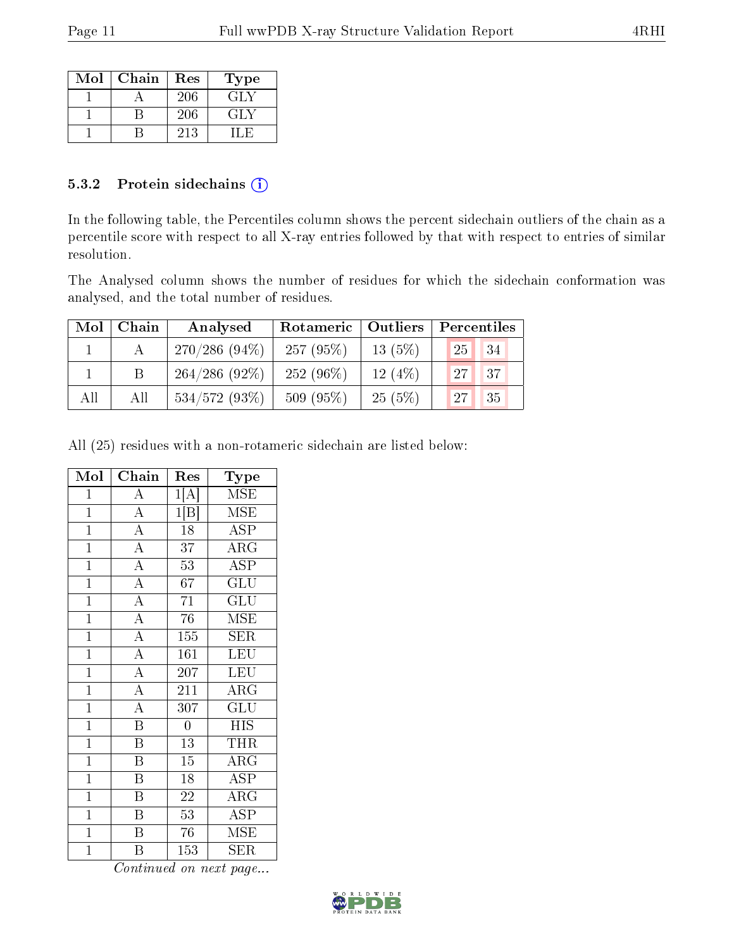| Mol | Chain | Res | Type |
|-----|-------|-----|------|
|     |       | 206 | GLY  |
|     |       | 206 | GLY. |
|     |       | 213 |      |

#### 5.3.2 Protein sidechains  $(i)$

In the following table, the Percentiles column shows the percent sidechain outliers of the chain as a percentile score with respect to all X-ray entries followed by that with respect to entries of similar resolution.

The Analysed column shows the number of residues for which the sidechain conformation was analysed, and the total number of residues.

| Mol | Chain | Analysed        | Rotameric   Outliers |           | Percentiles |    |  |
|-----|-------|-----------------|----------------------|-----------|-------------|----|--|
|     |       | $270/286(94\%)$ | 257(95%)             | $13(5\%)$ | 25          | 34 |  |
|     |       | $264/286(92\%)$ | $252(96\%)$          | 12(4%)    | 27          | 37 |  |
| All | All   | $534/572(93\%)$ | 509 (95%)            | 25(5%)    | 27          | 35 |  |

All (25) residues with a non-rotameric sidechain are listed below:

| Mol            | ${\bf Chain}$                       | Res              | Type                    |
|----------------|-------------------------------------|------------------|-------------------------|
| $\mathbf{1}$   | $\boldsymbol{A}$                    | 1[A]             | $\operatorname{MSE}$    |
| $\overline{1}$ | $\overline{A}$                      | 1 B              | $\overline{\rm MSE}$    |
| $\mathbf{1}$   | $\overline{A}$                      | 18               | <b>ASP</b>              |
| $\mathbf{1}$   | $\frac{\overline{A}}{\overline{A}}$ | 37               | $\rm{ARG}$              |
| $\overline{1}$ |                                     | 53               | <b>ASP</b>              |
| $\overline{1}$ | $\overline{A}$                      | 67               | GLU                     |
| $\overline{1}$ | $\overline{A}$                      | 71               | GLU                     |
| $\mathbf{1}$   | $\overline{A}$                      | 76               | MSE                     |
| $\overline{1}$ | $\overline{A}$                      | $15\overline{5}$ | $\overline{\text{SER}}$ |
| $\overline{1}$ | $\frac{\overline{A}}{\overline{A}}$ | 161              | <b>LEU</b>              |
| $\overline{1}$ |                                     | 207              | <b>LEU</b>              |
| $\overline{1}$ | $\overline{A}$                      | 211              | $\overline{\rm{ARG}}$   |
| $\mathbf{1}$   | $\overline{A}$                      | 307              | GLU                     |
| $\overline{1}$ | $\overline{\mathbf{B}}$             | $\boldsymbol{0}$ | <b>HIS</b>              |
| $\mathbf{1}$   | $\overline{\mathrm{B}}$             | 13               | <b>THR</b>              |
| $\overline{1}$ | $\overline{\mathrm{B}}$             | 15               | $\rm{ARG}$              |
| $\overline{1}$ | $\overline{\mathrm{B}}$             | 18               | <b>ASP</b>              |
| $\mathbf{1}$   | Β                                   | 22               | $\rm{ARG}$              |
| $\overline{1}$ | $\overline{\mathbf{B}}$             | $\overline{53}$  | $\overline{\text{ASP}}$ |
| $\mathbf{1}$   | $\overline{\mathrm{B}}$             | 76               | <b>MSE</b>              |
| $\mathbf 1$    | Β                                   | 153              | <b>SER</b>              |

Continued on next page...

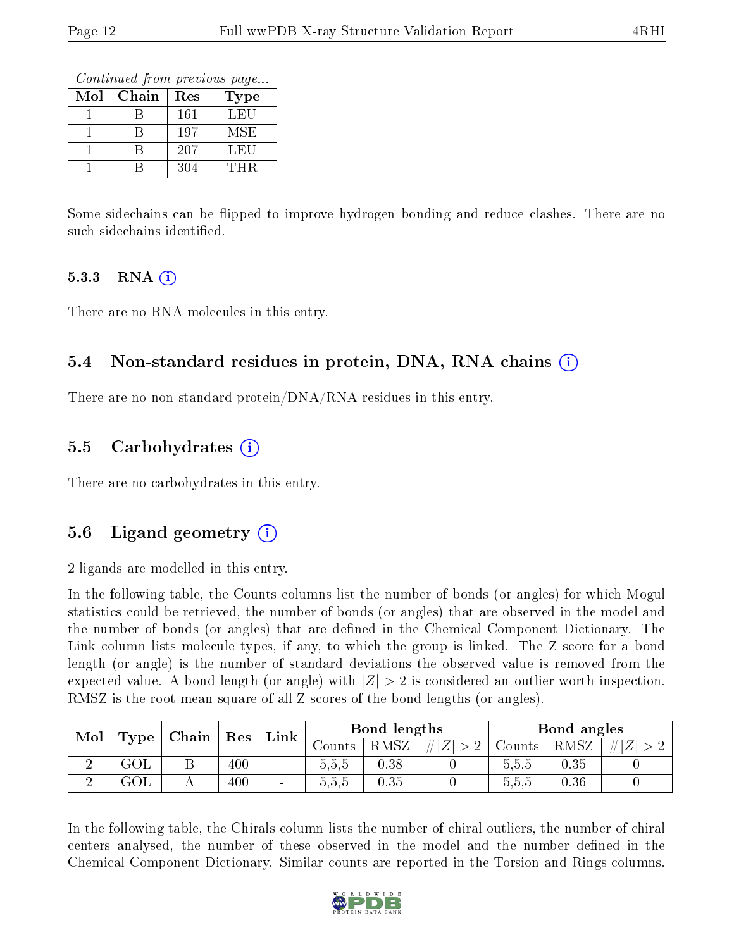Continued from previous page...

| Mol | Chain | Res | Type |
|-----|-------|-----|------|
|     |       | 161 | LEU  |
|     |       | 197 | MSE  |
|     |       | 207 | LEU  |
|     |       | 304 | THR  |

Some sidechains can be flipped to improve hydrogen bonding and reduce clashes. There are no such sidechains identified.

#### 5.3.3 RNA  $(i)$

There are no RNA molecules in this entry.

# 5.4 Non-standard residues in protein, DNA, RNA chains (i)

There are no non-standard protein/DNA/RNA residues in this entry.

# 5.5 Carbohydrates (i)

There are no carbohydrates in this entry.

# 5.6 Ligand geometry  $(i)$

2 ligands are modelled in this entry.

In the following table, the Counts columns list the number of bonds (or angles) for which Mogul statistics could be retrieved, the number of bonds (or angles) that are observed in the model and the number of bonds (or angles) that are defined in the Chemical Component Dictionary. The Link column lists molecule types, if any, to which the group is linked. The Z score for a bond length (or angle) is the number of standard deviations the observed value is removed from the expected value. A bond length (or angle) with  $|Z| > 2$  is considered an outlier worth inspection. RMSZ is the root-mean-square of all Z scores of the bond lengths (or angles).

| Mol |      |  | $ $ Chain $ $ Res |                          | Bond lengths<br>Link |      | Bond angles |        |      |     |
|-----|------|--|-------------------|--------------------------|----------------------|------|-------------|--------|------|-----|
|     | Type |  |                   |                          | ∪ounts               | RMSZ | $\# Z $     | Counts | RMSZ | H Z |
|     | GOL  |  | 400               | $\blacksquare$           | 5,5,5                | 0.38 |             | 5.5.5  | 0.35 |     |
|     | GOL  |  | 400               | $\overline{\phantom{a}}$ | 5.5.5                | 0.35 |             | 5.5.5  | 0.36 |     |

In the following table, the Chirals column lists the number of chiral outliers, the number of chiral centers analysed, the number of these observed in the model and the number defined in the Chemical Component Dictionary. Similar counts are reported in the Torsion and Rings columns.

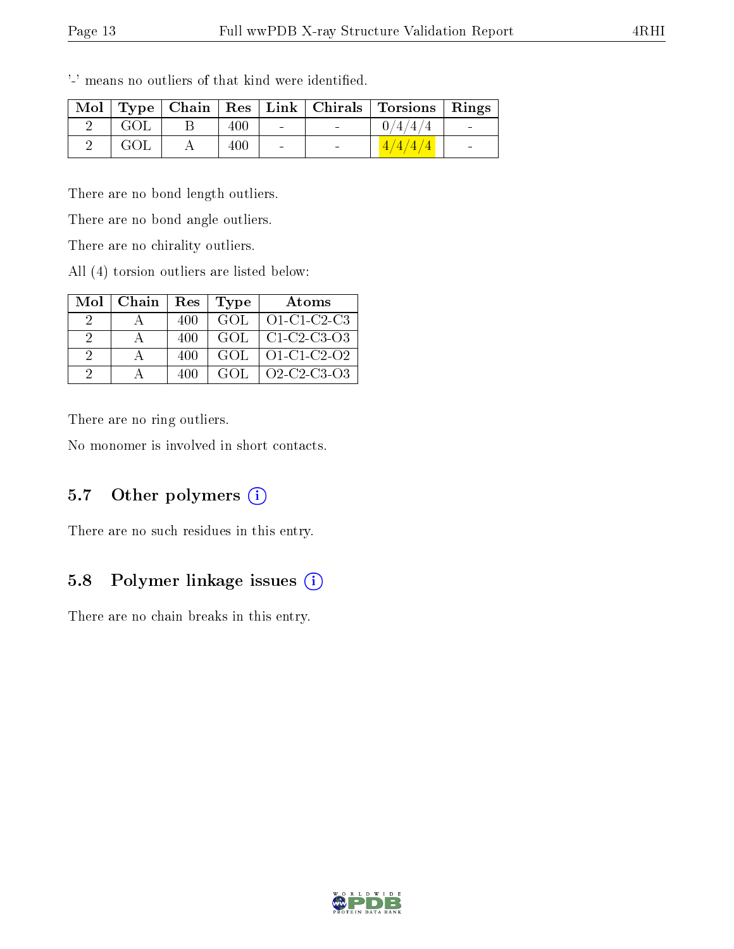|     |     |                 | Mol   Type   Chain   Res   Link   Chirals   Torsions   Rings |  |
|-----|-----|-----------------|--------------------------------------------------------------|--|
| GOL | 400 |                 | 0/4/4/4                                                      |  |
| GOL | 400 | <b>Contract</b> | 4/4/4/4                                                      |  |

'-' means no outliers of that kind were identified.

There are no bond length outliers.

There are no bond angle outliers.

There are no chirality outliers.

All (4) torsion outliers are listed below:

| Mol           | Chain | Res | <b>Type</b> | Atoms         |
|---------------|-------|-----|-------------|---------------|
|               |       | 400 | GOL.        | $O1-C1-C2-C3$ |
| $\mathcal{P}$ |       | 400 | GOL         | $C1-C2-C3-O3$ |
| 2             |       | 400 | GOL         | $O1-C1-C2-O2$ |
| 9             |       | 400 | GOL.        | Q2-C2-C3-Q3   |

There are no ring outliers.

No monomer is involved in short contacts.

# 5.7 [O](https://www.wwpdb.org/validation/2017/XrayValidationReportHelp#nonstandard_residues_and_ligands)ther polymers  $(i)$

There are no such residues in this entry.

# 5.8 Polymer linkage issues (i)

There are no chain breaks in this entry.

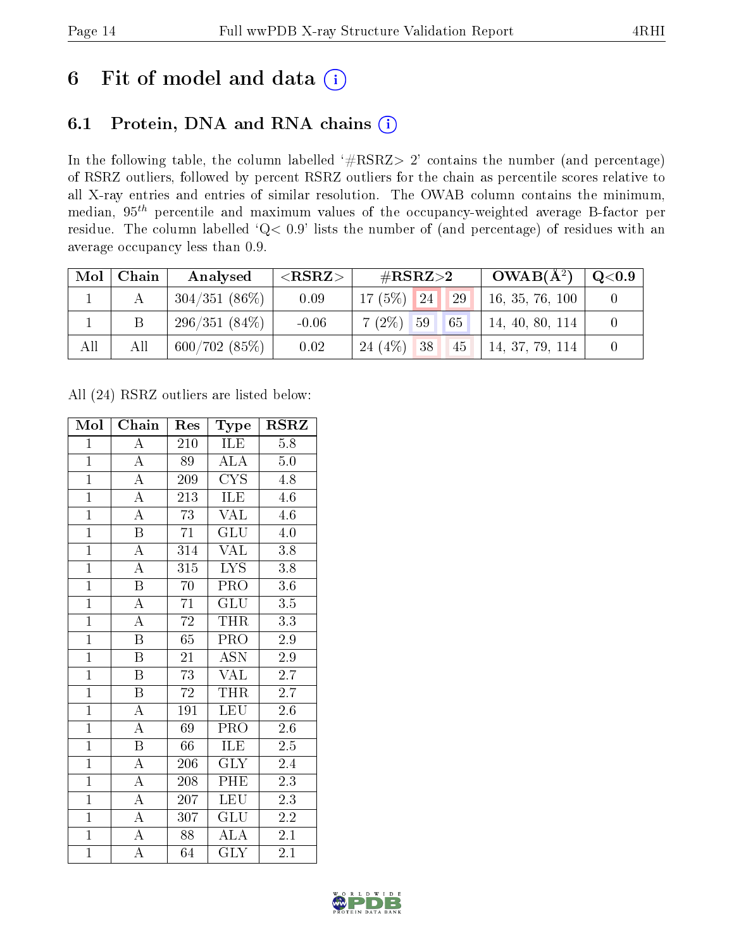# 6 Fit of model and data  $(i)$

# 6.1 Protein, DNA and RNA chains  $(i)$

In the following table, the column labelled  $#RSRZ> 2'$  contains the number (and percentage) of RSRZ outliers, followed by percent RSRZ outliers for the chain as percentile scores relative to all X-ray entries and entries of similar resolution. The OWAB column contains the minimum, median,  $95<sup>th</sup>$  percentile and maximum values of the occupancy-weighted average B-factor per residue. The column labelled ' $Q< 0.9$ ' lists the number of (and percentage) of residues with an average occupancy less than 0.9.

| Mol | Chain | Analysed        | ${ <\hspace{-1.5pt}{\mathrm{RSRZ}} \hspace{-1.5pt}>}$ | $\#\text{RSRZ}\text{>2}$      | $OWAB(A^2)$     | $\rm Q\textcolor{black}{<}0.9$ |
|-----|-------|-----------------|-------------------------------------------------------|-------------------------------|-----------------|--------------------------------|
|     |       | $304/351(86\%)$ | 0.09                                                  | 17(5%)<br>29<br><sup>24</sup> | 16, 35, 76, 100 |                                |
|     |       | 296/351(84%)    | $-0.06$                                               | $7(2\%)$ 59<br> 65            | 14, 40, 80, 114 |                                |
| All | All   | 600/702(85%)    | 0.02                                                  | 24(4%)<br>38<br>45            | 14, 37, 79, 114 |                                |

All (24) RSRZ outliers are listed below:

| Mol            | Chain                   | Res             | Type                    | $\text{RSR}{}$   |
|----------------|-------------------------|-----------------|-------------------------|------------------|
| $\mathbf{1}$   | $\overline{\rm A}$      | 210             | ILE                     | 5.8              |
| $\mathbf{1}$   | $\overline{\rm A}$      | 89              | <b>ALA</b>              | 5.0              |
| $\overline{1}$ | $\overline{\rm A}$      | 209             | $\overline{\text{CYS}}$ | 4.8              |
| $\overline{1}$ | $\overline{\rm A}$      | 213             | ILE                     | 4.6              |
| $\overline{1}$ | $\overline{\rm A}$      | $\overline{73}$ | <b>VAL</b>              | 4.6              |
| $\overline{1}$ | $\boldsymbol{B}$        | 71              | $GL\overline{U}$        | $4.0\,$          |
| $\overline{1}$ | $\overline{\rm A}$      | 314             | <b>VAL</b>              | 3.8              |
| $\overline{1}$ | $\overline{A}$          | 315             | $\overline{\text{LYS}}$ | 3.8              |
| $\overline{1}$ | $\overline{\mathrm{B}}$ | 70              | PRO                     | 3.6              |
| $\overline{1}$ | $\overline{A}$          | $\overline{71}$ | $\overline{\text{GLU}}$ | 3.5              |
| $\overline{1}$ | $\overline{\rm A}$      | $\overline{72}$ | <b>THR</b>              | $\overline{3.3}$ |
| $\overline{1}$ | $\overline{\mathrm{B}}$ | $65\,$          | $\overline{\text{PRO}}$ | $2.9\,$          |
| $\overline{1}$ | $\overline{B}$          | 21              | $\overline{\text{ASN}}$ | 2.9              |
| $\overline{1}$ | $\boldsymbol{B}$        | $7\overline{3}$ | <b>VAL</b>              | 2.7              |
| $\overline{1}$ | $\overline{\mathrm{B}}$ | $\overline{72}$ | <b>THR</b>              | $\overline{2.7}$ |
| $\overline{1}$ | $\overline{\rm A}$      | 191             | <b>LEU</b>              | 2.6              |
| $\overline{1}$ | $\overline{\rm A}$      | $\overline{69}$ | $\overline{\text{PRO}}$ | $\overline{2.6}$ |
| $\mathbf{1}$   | $\, {\bf B}$            | 66              | ILE                     | 2.5              |
| $\overline{1}$ | $\overline{A}$          | 206             | <b>GLY</b>              | 2.4              |
| $\overline{1}$ | $\overline{\rm A}$      | 208             | PHE                     | 2.3              |
| $\overline{1}$ | $\overline{\rm A}$      | 207             | <b>LEU</b>              | 2.3              |
| $\overline{1}$ | $\overline{A}$          | 307             | GLU                     | 2.2              |
| $\mathbf{1}$   | $\overline{\rm A}$      | 88              | <b>ALA</b>              | 2.1              |
| $\overline{1}$ | $\overline{\rm A}$      | 64              | $\overline{\text{GLY}}$ | 2.1              |